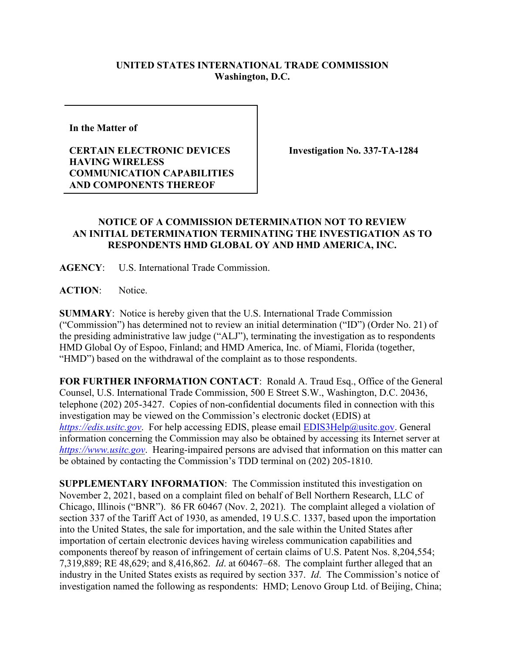## **UNITED STATES INTERNATIONAL TRADE COMMISSION Washington, D.C.**

**In the Matter of** 

## **CERTAIN ELECTRONIC DEVICES HAVING WIRELESS COMMUNICATION CAPABILITIES AND COMPONENTS THEREOF**

**Investigation No. 337-TA-1284**

## **NOTICE OF A COMMISSION DETERMINATION NOT TO REVIEW AN INITIAL DETERMINATION TERMINATING THE INVESTIGATION AS TO RESPONDENTS HMD GLOBAL OY AND HMD AMERICA, INC.**

**AGENCY**: U.S. International Trade Commission.

**ACTION**: Notice.

**SUMMARY**: Notice is hereby given that the U.S. International Trade Commission ("Commission") has determined not to review an initial determination ("ID") (Order No. 21) of the presiding administrative law judge ("ALJ"), terminating the investigation as to respondents HMD Global Oy of Espoo, Finland; and HMD America, Inc. of Miami, Florida (together, "HMD") based on the withdrawal of the complaint as to those respondents.

**FOR FURTHER INFORMATION CONTACT**: Ronald A. Traud Esq., Office of the General Counsel, U.S. International Trade Commission, 500 E Street S.W., Washington, D.C. 20436, telephone (202) 205-3427. Copies of non-confidential documents filed in connection with this investigation may be viewed on the Commission's electronic docket (EDIS) at *[https://edis.usitc.gov](https://edis.usitc.gov/)*. For help accessing EDIS, please email [EDIS3Help@usitc.gov.](mailto:EDIS3Help@usitc.gov) General information concerning the Commission may also be obtained by accessing its Internet server at *[https://www.usitc.gov](https://www.usitc.gov/)*. Hearing-impaired persons are advised that information on this matter can be obtained by contacting the Commission's TDD terminal on (202) 205-1810.

**SUPPLEMENTARY INFORMATION**: The Commission instituted this investigation on November 2, 2021, based on a complaint filed on behalf of Bell Northern Research, LLC of Chicago, Illinois ("BNR"). 86 FR 60467 (Nov. 2, 2021). The complaint alleged a violation of section 337 of the Tariff Act of 1930, as amended, 19 U.S.C. 1337, based upon the importation into the United States, the sale for importation, and the sale within the United States after importation of certain electronic devices having wireless communication capabilities and components thereof by reason of infringement of certain claims of U.S. Patent Nos. 8,204,554; 7,319,889; RE 48,629; and 8,416,862. *Id*. at 60467–68. The complaint further alleged that an industry in the United States exists as required by section 337. *Id*. The Commission's notice of investigation named the following as respondents: HMD; Lenovo Group Ltd. of Beijing, China;